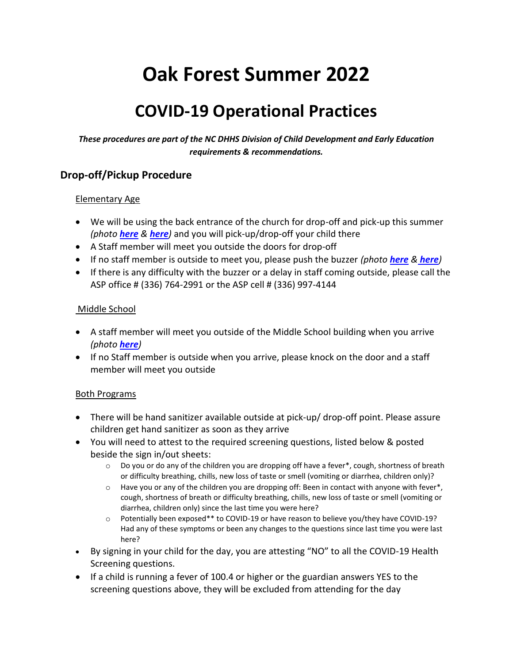# **Oak Forest Summer 2022**

# **COVID-19 Operational Practices**

*These procedures are part of the NC DHHS Division of Child Development and Early Education requirements & recommendations.* 

### **Drop-off/Pickup Procedure**

#### Elementary Age

- We will be using the back entrance of the church for drop-off and pick-up this summer *(photo [here](file:///C:/Users/Owner/Documents/back%20door%202.jpg) & [here](file:///C:/Users/Owner/Documents/back%20door.jpg))* and you will pick-up/drop-off your child there
- A Staff member will meet you outside the doors for drop-off
- If no staff member is outside to meet you, please push the buzzer *(photo [here](file:///C:/Users/Owner/Documents/buzzer%202.jpg) & [here](file:///C:/Users/Owner/Documents/buzzer.jpg))*
- If there is any difficulty with the buzzer or a delay in staff coming outside, please call the ASP office # (336) 764-2991 or the ASP cell # (336) 997-4144

#### Middle School

- A staff member will meet you outside of the Middle School building when you arrive *(photo [here](file:///C:/Users/Owner/Documents/middle%20school%20building%201.jpg))*
- If no Staff member is outside when you arrive, please knock on the door and a staff member will meet you outside

#### Both Programs

- There will be hand sanitizer available outside at pick-up/ drop-off point. Please assure children get hand sanitizer as soon as they arrive
- You will need to attest to the required screening questions, listed below & posted beside the sign in/out sheets:
	- $\circ$  Do you or do any of the children you are dropping off have a fever\*, cough, shortness of breath or difficulty breathing, chills, new loss of taste or smell (vomiting or diarrhea, children only)?
	- $\circ$  Have you or any of the children you are dropping off: Been in contact with anyone with fever\*, cough, shortness of breath or difficulty breathing, chills, new loss of taste or smell (vomiting or diarrhea, children only) since the last time you were here?
	- o Potentially been exposed\*\* to COVID-19 or have reason to believe you/they have COVID-19? Had any of these symptoms or been any changes to the questions since last time you were last here?
- By signing in your child for the day, you are attesting "NO" to all the COVID-19 Health Screening questions.
- If a child is running a fever of 100.4 or higher or the guardian answers YES to the screening questions above, they will be excluded from attending for the day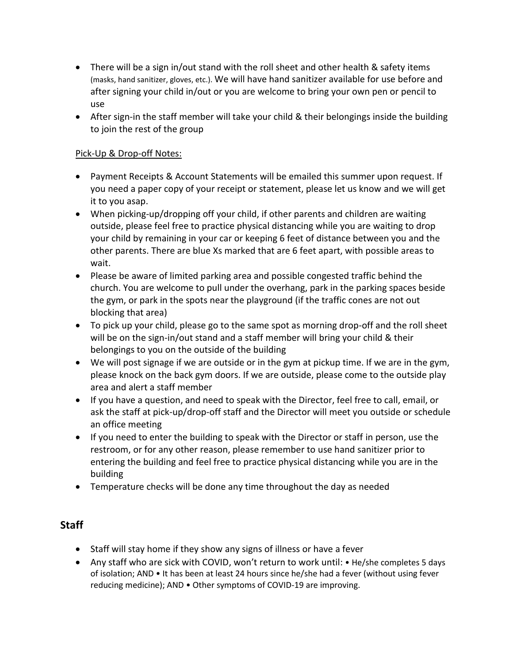- There will be a sign in/out stand with the roll sheet and other health & safety items (masks, hand sanitizer, gloves, etc.). We will have hand sanitizer available for use before and after signing your child in/out or you are welcome to bring your own pen or pencil to use
- After sign-in the staff member will take your child & their belongings inside the building to join the rest of the group

#### Pick-Up & Drop-off Notes:

- Payment Receipts & Account Statements will be emailed this summer upon request. If you need a paper copy of your receipt or statement, please let us know and we will get it to you asap.
- When picking-up/dropping off your child, if other parents and children are waiting outside, please feel free to practice physical distancing while you are waiting to drop your child by remaining in your car or keeping 6 feet of distance between you and the other parents. There are blue Xs marked that are 6 feet apart, with possible areas to wait.
- Please be aware of limited parking area and possible congested traffic behind the church. You are welcome to pull under the overhang, park in the parking spaces beside the gym, or park in the spots near the playground (if the traffic cones are not out blocking that area)
- To pick up your child, please go to the same spot as morning drop-off and the roll sheet will be on the sign-in/out stand and a staff member will bring your child & their belongings to you on the outside of the building
- We will post signage if we are outside or in the gym at pickup time. If we are in the gym, please knock on the back gym doors. If we are outside, please come to the outside play area and alert a staff member
- If you have a question, and need to speak with the Director, feel free to call, email, or ask the staff at pick-up/drop-off staff and the Director will meet you outside or schedule an office meeting
- If you need to enter the building to speak with the Director or staff in person, use the restroom, or for any other reason, please remember to use hand sanitizer prior to entering the building and feel free to practice physical distancing while you are in the building
- Temperature checks will be done any time throughout the day as needed

## **Staff**

- Staff will stay home if they show any signs of illness or have a fever
- Any staff who are sick with COVID, won't return to work until: He/she completes 5 days of isolation; AND • It has been at least 24 hours since he/she had a fever (without using fever reducing medicine); AND • Other symptoms of COVID-19 are improving.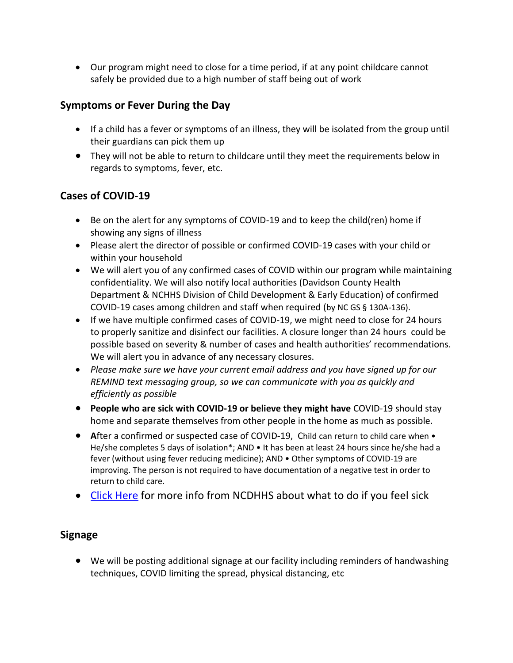• Our program might need to close for a time period, if at any point childcare cannot safely be provided due to a high number of staff being out of work

# **Symptoms or Fever During the Day**

- If a child has a fever or symptoms of an illness, they will be isolated from the group until their guardians can pick them up
- They will not be able to return to childcare until they meet the requirements below in regards to symptoms, fever, etc.

## **Cases of COVID-19**

- Be on the alert for any symptoms of COVID-19 and to keep the child(ren) home if showing any signs of illness
- Please alert the director of possible or confirmed COVID-19 cases with your child or within your household
- We will alert you of any confirmed cases of COVID within our program while maintaining confidentiality. We will also notify local authorities (Davidson County Health Department & NCHHS Division of Child Development & Early Education) of confirmed COVID-19 cases among children and staff when required (by NC GS § 130A-136).
- If we have multiple confirmed cases of COVID-19, we might need to close for 24 hours to properly sanitize and disinfect our facilities. A closure longer than 24 hours could be possible based on severity & number of cases and health authorities' recommendations. We will alert you in advance of any necessary closures.
- *Please make sure we have your current email address and you have signed up for our REMIND text messaging group, so we can communicate with you as quickly and efficiently as possible*
- **People who are sick with COVID-19 or believe they might have** COVID-19 should stay home and separate themselves from other people in the home as much as possible.
- After a confirmed or suspected case of COVID-19, Child can return to child care when He/she completes 5 days of isolation\*; AND • It has been at least 24 hours since he/she had a fever (without using fever reducing medicine); AND • Other symptoms of COVID-19 are improving. The person is not required to have documentation of a negative test in order to return to child care.
- Click Here for more info from NCDHHS about what to do if you feel sick

# **Signage**

• We will be posting additional signage at our facility including reminders of handwashing techniques, COVID limiting the spread, physical distancing, etc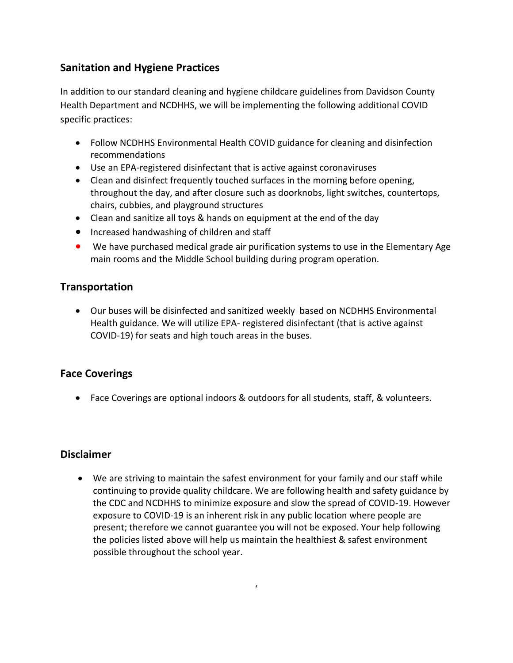# **Sanitation and Hygiene Practices**

In addition to our standard cleaning and hygiene childcare guidelines from Davidson County Health Department and NCDHHS, we will be implementing the following additional COVID specific practices:

- Follow NCDHHS Environmental Health COVID guidance for cleaning and disinfection recommendations
- Use an EPA-registered disinfectant that is active against coronaviruses
- Clean and disinfect frequently touched surfaces in the morning before opening, throughout the day, and after closure such as doorknobs, light switches, countertops, chairs, cubbies, and playground structures
- Clean and sanitize all toys & hands on equipment at the end of the day
- Increased handwashing of children and staff
- We have purchased medical grade air purification systems to use in the Elementary Age main rooms and the Middle School building during program operation.

### **Transportation**

• Our buses will be disinfected and sanitized weekly based on NCDHHS Environmental Health guidance. We will utilize EPA- registered disinfectant (that is active against COVID-19) for seats and high touch areas in the buses.

#### **Face Coverings**

• Face Coverings are optional indoors & outdoors for all students, staff, & volunteers.

#### **Disclaimer**

• We are striving to maintain the safest environment for your family and our staff while continuing to provide quality childcare. We are following health and safety guidance by the CDC and NCDHHS to minimize exposure and slow the spread of COVID-19. However exposure to COVID-19 is an inherent risk in any public location where people are present; therefore we cannot guarantee you will not be exposed. Your help following the policies listed above will help us maintain the healthiest & safest environment possible throughout the school year.

 $\epsilon$